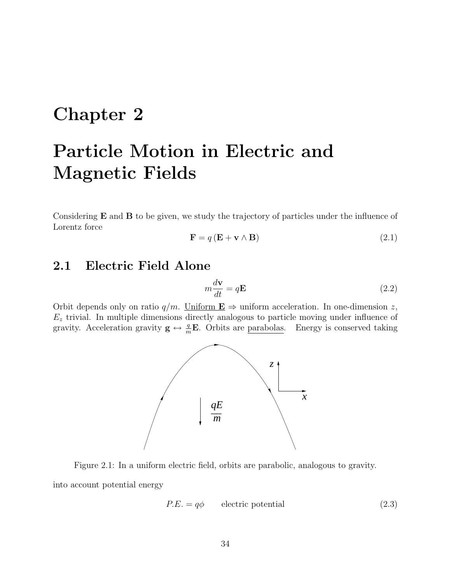# Chapter 2

# Particle Motion in Electric and Magnetic Fields

Considering  $E$  and  $B$  to be given, we study the trajectory of particles under the influence of Lorentz force

$$
\mathbf{F} = q\left(\mathbf{E} + \mathbf{v} \wedge \mathbf{B}\right) \tag{2.1}
$$

# 2.1 Electric Field Alone

$$
m\frac{d\mathbf{v}}{dt} = q\mathbf{E} \tag{2.2}
$$

Orbit depends only on ratio  $q/m$ . Uniform  $\mathbf{E} \Rightarrow$  uniform acceleration. In one-dimension z,  $E<sub>z</sub>$  trivial. In multiple dimensions directly analogous to particle moving under influence of gravity. Acceleration gravity  $\mathbf{g} \leftrightarrow \frac{q}{m} \mathbf{E}$ . Orbits are parabolas. Energy is conserved taking



Figure 2.1: In a uniform electric field, orbits are parabolic, analogous to gravity.

into account potential energy

$$
P.E. = q\phi \qquad \text{electric potential} \tag{2.3}
$$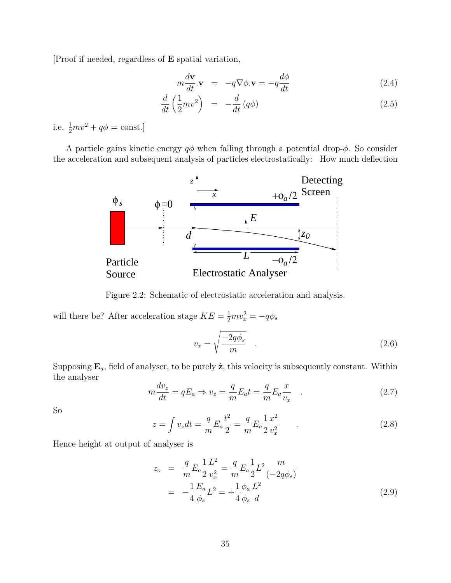[Proof if needed, regardless of E spatial variation,

$$
m\frac{d\mathbf{v}}{dt}\cdot\mathbf{v} = -q\nabla\phi.\mathbf{v} = -q\frac{d\phi}{dt}
$$
 (2.4)

$$
\frac{d}{dt}\left(\frac{1}{2}mv^2\right) = -\frac{d}{dt}\left(q\phi\right) \tag{2.5}
$$

i.e.  $\frac{1}{2}mv^2 + q\phi = \text{const.}$ 

A particle gains kinetic energy  $q\phi$  when falling through a potential drop- $\phi$ . So consider the acceleration and subsequent analysis of particles electrostatically: How much deflection



Figure 2.2: Schematic of electrostatic acceleration and analysis.

will there be? After acceleration stage  $KE = \frac{1}{2}mv_x^2 = -q\phi_s$ 

$$
v_x = \sqrt{\frac{-2q\phi_s}{m}} \quad . \tag{2.6}
$$

Supposing  $\mathbf{E}_a$ , field of analyser, to be purely  $\hat{\mathbf{z}}$ , this velocity is subsequently constant. Within the analyser

$$
m\frac{dv_z}{dt} = qE_a \Rightarrow v_z = \frac{q}{m}E_a t = \frac{q}{m}E_a \frac{x}{v_x} \quad . \tag{2.7}
$$

So

$$
z = \int v_z dt = \frac{q}{m} E_a \frac{t^2}{2} = \frac{q}{m} E_a \frac{1}{2} \frac{x^2}{v_x^2} .
$$
 (2.8)

Hence height at output of analyser is

$$
z_o = \frac{q}{m} E_a \frac{1}{2} \frac{L^2}{v_x^2} = \frac{q}{m} E_a \frac{1}{2} L^2 \frac{m}{(-2q\phi_s)}
$$
  
= 
$$
-\frac{1}{4} \frac{E_a}{\phi_s} L^2 = +\frac{1}{4} \frac{\phi_a}{\phi_s} \frac{L^2}{d}
$$
 (2.9)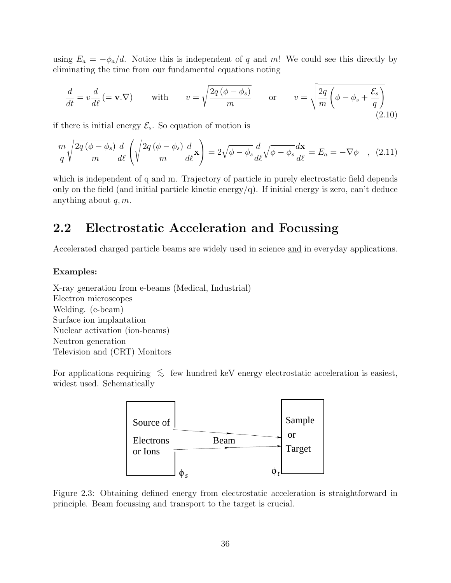using  $E_a = -\phi_a/d$ . Notice this is independent of q and m! We could see this directly by eliminating the time from our fundamental equations noting

$$
\frac{d}{dt} = v\frac{d}{d\ell} \left(= \mathbf{v}.\nabla\right) \quad \text{with} \quad v = \sqrt{\frac{2q\left(\phi - \phi_s\right)}{m}} \quad \text{or} \quad v = \sqrt{\frac{2q}{m}\left(\phi - \phi_s + \frac{\mathcal{E}_s}{q}\right)} \tag{2.10}
$$

if there is initial energy  $\mathcal{E}_s$ . So equation of motion is

$$
\frac{m}{q}\sqrt{\frac{2q(\phi-\phi_s)}{m}}\frac{d}{d\ell}\left(\sqrt{\frac{2q(\phi-\phi_s)}{m}}\frac{d}{d\ell}\mathbf{x}\right) = 2\sqrt{\phi-\phi_s}\frac{d}{d\ell}\sqrt{\phi-\phi_s}\frac{d\mathbf{x}}{d\ell} = E_a = -\nabla\phi \quad , \tag{2.11}
$$

which is independent of q and m. Trajectory of particle in purely electrostatic field depends only on the field (and initial particle kinetic energy/q). If initial energy is zero, can't deduce anything about  $q, m$ .

# 2.2 Electrostatic Acceleration and Focussing

Accelerated charged particle beams are widely used in science and in everyday applications.

#### Examples:

X-ray generation from e-beams (Medical, Industrial) Electron microscopes Welding. (e-beam) Surface ion implantation Nuclear activation (ion-beams) Neutron generation Television and (CRT) Monitors

For applications requiring  $\leq$  few hundred keV energy electrostatic acceleration is easiest, widest used. Schematically



Figure 2.3: Obtaining defined energy from electrostatic acceleration is straightforward in principle. Beam focussing and transport to the target is crucial.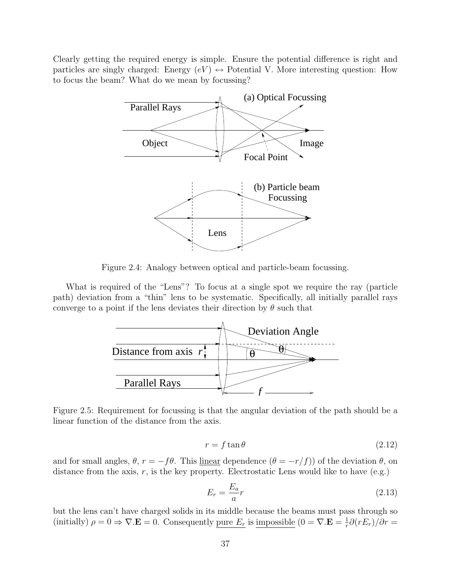Clearly getting the required energy is simple. Ensure the potential difference is right and particles are singly charged: Energy  $(eV) \leftrightarrow$  Potential V. More interesting question: How to focus the beam? What do we mean by focussing?



Figure 2.4: Analogy between optical and particle-beam focussing.

What is required of the "Lens"? To focus at a single spot we require the ray (particle path) deviation from a "thin" lens to be systematic. Specifically, all initially parallel rays converge to a point if the lens deviates their direction by  $\theta$  such that



Figure 2.5: Requirement for focussing is that the angular deviation of the path should be a linear function of the distance from the axis.

$$
r = f \tan \theta \tag{2.12}
$$

and for small angles,  $\theta$ ,  $r = -f\theta$ . This <u>linear</u> dependence  $(\theta = -r/f)$  of the deviation  $\theta$ , on distance from the axis,  $r$ , is the key property. Electrostatic Lens would like to have  $(e.g.)$ 

$$
E_r = \frac{E_a}{a}r\tag{2.13}
$$

but the lens can't have charged solids in its middle because the beams must pass through so (initially)  $\rho = 0 \Rightarrow \nabla \cdot \mathbf{E} = 0$ . Consequently <u>pure  $E_r$ </u> is <u>impossible</u>  $(0 = \nabla \cdot \mathbf{E} = \frac{1}{r} \partial (r E_r)/\partial r =$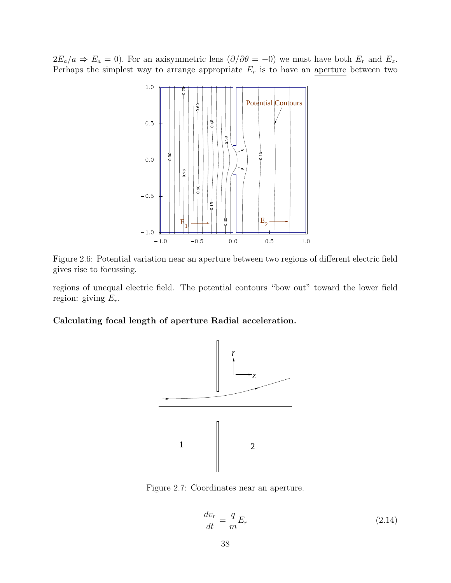$2E_a/a \Rightarrow E_a = 0$ ). For an axisymmetric lens  $(\partial/\partial \theta = -0)$  we must have both  $E_r$  and  $E_z$ . Perhaps the simplest way to arrange appropriate  $E_r$  is to have an aperture between two



Figure 2.6: Potential variation near an aperture between two regions of different electric field gives rise to focussing.

regions of unequal electric field. The potential contours "bow out" toward the lower field region: giving  $E_r$ .

#### Calculating focal length of aperture Radial acceleration.



Figure 2.7: Coordinates near an aperture.

$$
\frac{dv_r}{dt} = \frac{q}{m}E_r\tag{2.14}
$$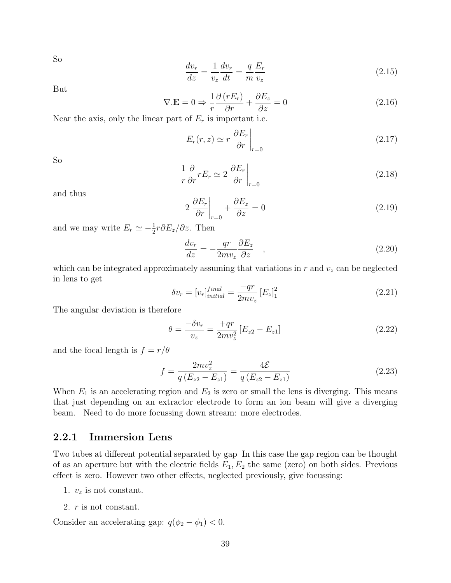So

$$
\frac{dv_r}{dz} = \frac{1}{v_z}\frac{dv_r}{dt} = \frac{q}{m}\frac{E_r}{v_z}
$$
\n(2.15)

But

$$
\nabla \cdot \mathbf{E} = 0 \Rightarrow \frac{1}{r} \frac{\partial (rE_r)}{\partial r} + \frac{\partial E_z}{\partial z} = 0 \tag{2.16}
$$

Near the axis, only the linear part of  $E_r$  is important i.e.

$$
E_r(r,z) \simeq r \left. \frac{\partial E_r}{\partial r} \right|_{r=0} \tag{2.17}
$$

So

$$
\frac{1}{r}\frac{\partial}{\partial r}rE_r \simeq 2\left.\frac{\partial E_r}{\partial r}\right|_{r=0} \tag{2.18}
$$

and thus

$$
2\left.\frac{\partial E_r}{\partial r}\right|_{r=0} + \frac{\partial E_z}{\partial z} = 0\tag{2.19}
$$

and we may write  $E_r \simeq -\frac{1}{2}r\partial E_z/\partial z$ . Then

$$
\frac{dv_r}{dz} = -\frac{qr}{2mv_z}\frac{\partial E_z}{\partial z} \quad , \tag{2.20}
$$

which can be integrated approximately assuming that variations in  $r$  and  $v<sub>z</sub>$  can be neglected in lens to get

$$
\delta v_r = [v_r]_{initial}^{final} = \frac{-qr}{2mv_z} [E_z]_1^2
$$
\n(2.21)

The angular deviation is therefore

$$
\theta = \frac{-\delta v_r}{v_z} = \frac{+qr}{2mv_z^2} \left[ E_{z2} - E_{z1} \right]
$$
\n(2.22)

and the focal length is  $f = r/\theta$ 

$$
f = \frac{2mv_z^2}{q(E_{z2} - E_{z1})} = \frac{4\mathcal{E}}{q(E_{z2} - E_{z1})}
$$
(2.23)

When  $E_1$  is an accelerating region and  $E_2$  is zero or small the lens is diverging. This means that just depending on an extractor electrode to form an ion beam will give a diverging beam. Need to do more focussing down stream: more electrodes.

#### 2.2.1 Immersion Lens

Two tubes at different potential separated by gap In this case the gap region can be thought of as an aperture but with the electric fields  $E_1, E_2$  the same (zero) on both sides. Previous effect is zero. However two other effects, neglected previously, give focussing:

- 1.  $v_z$  is not constant.
- 2. r is not constant.

Consider an accelerating gap:  $q(\phi_2 - \phi_1) < 0$ .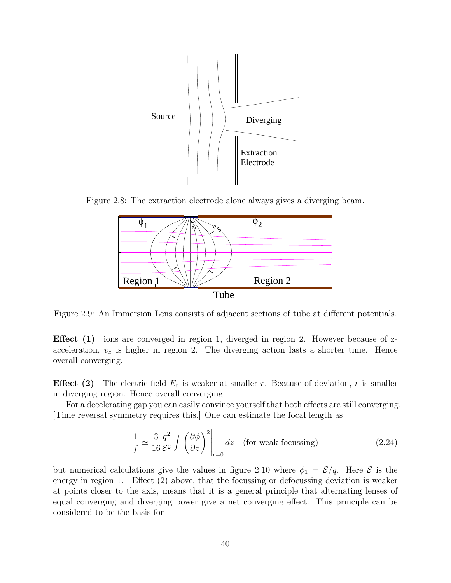

Figure 2.8: The extraction electrode alone always gives a diverging beam.



Figure 2.9: An Immersion Lens consists of adjacent sections of tube at different potentials.

Effect (1) ions are converged in region 1, diverged in region 2. However because of zacceleration,  $v<sub>z</sub>$  is higher in region 2. The diverging action lasts a shorter time. Hence overall converging.

**Effect** (2) The electric field  $E_r$  is weaker at smaller r. Because of deviation, r is smaller in diverging region. Hence overall converging.

For a decelerating gap you can easily convince yourself that both effects are still converging. [Time reversal symmetry requires this.] One can estimate the focal length as

$$
\frac{1}{f} \simeq \frac{3}{16} \frac{q^2}{\mathcal{E}^2} \int \left( \frac{\partial \phi}{\partial z} \right)^2 \bigg|_{r=0} dz \quad \text{(for weak focusing)} \tag{2.24}
$$

but numerical calculations give the values in figure 2.10 where  $\phi_1 = \mathcal{E}/q$ . Here  $\mathcal E$  is the energy in region 1. Effect (2) above, that the focussing or defocussing deviation is weaker at points closer to the axis, means that it is a general principle that alternating lenses of equal converging and diverging power give a net converging effect. This principle can be considered to be the basis for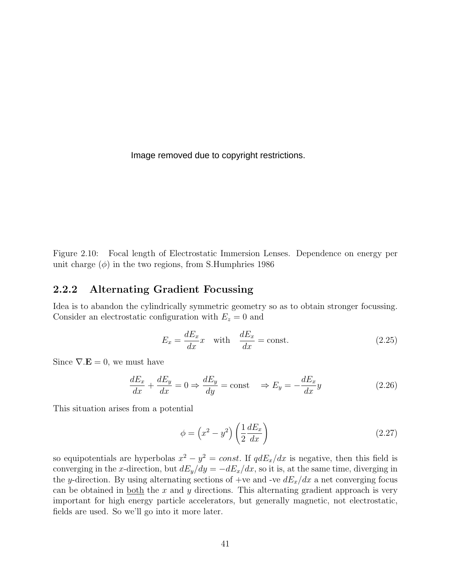Image removed due to copyright restrictions.

Figure 2.10: Focal length of Electrostatic Immersion Lenses. Dependence on energy per unit charge  $(\phi)$  in the two regions, from S.Humphries 1986

#### 2.2.2 Alternating Gradient Focussing

Idea is to abandon the cylindrically symmetric geometry so as to obtain stronger focussing. Consider an electrostatic configuration with  $E_z = 0$  and

$$
E_x = \frac{dE_x}{dx}x \quad \text{with} \quad \frac{dE_x}{dx} = \text{const.} \tag{2.25}
$$

Since  $\nabla \cdot \mathbf{E} = 0$ , we must have

$$
\frac{dE_x}{dx} + \frac{dE_y}{dx} = 0 \Rightarrow \frac{dE_y}{dy} = \text{const} \quad \Rightarrow E_y = -\frac{dE_x}{dx}y \tag{2.26}
$$

This situation arises from a potential

$$
\phi = \left(x^2 - y^2\right) \left(\frac{1}{2}\frac{dE_x}{dx}\right) \tag{2.27}
$$

so equipotentials are hyperbolas  $x^2 - y^2 = const$ . If  $qdE_x/dx$  is negative, then this field is converging in the x-direction, but  $dE_y/dy = -dE_x/dx$ , so it is, at the same time, diverging in the y-direction. By using alternating sections of  $+ve$  and  $-ve$   $dE_x/dx$  a net converging focus can be obtained in both the x and y directions. This alternating gradient approach is very important for high energy particle accelerators, but generally magnetic, not electrostatic, fields are used. So we'll go into it more later.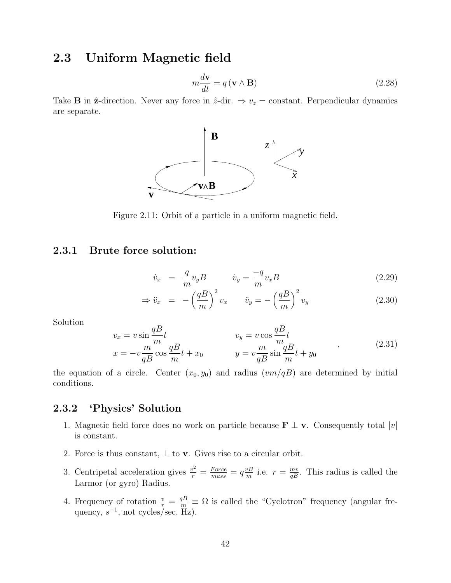# 2.3 Uniform Magnetic field

$$
m\frac{d\mathbf{v}}{dt} = q\left(\mathbf{v} \wedge \mathbf{B}\right) \tag{2.28}
$$

Take **B** in  $\hat{z}$ -direction. Never any force in  $\hat{z}$ -dir.  $\Rightarrow v_z = \text{constant}$ . Perpendicular dynamics are separate.



Figure 2.11: Orbit of a particle in a uniform magnetic field.

#### 2.3.1 Brute force solution:

$$
\dot{v}_x = \frac{q}{m} v_y B \qquad \dot{v}_y = \frac{-q}{m} v_x B \tag{2.29}
$$

$$
\Rightarrow \ddot{v}_x = -\left(\frac{qB}{m}\right)^2 v_x \qquad \ddot{v}_y = -\left(\frac{qB}{m}\right)^2 v_y \tag{2.30}
$$

Solution

$$
v_x = v \sin \frac{qB}{m} t
$$
  
\n
$$
x = -v \frac{m}{qB} \cos \frac{qB}{m} t + x_0
$$
  
\n
$$
v_y = v \cos \frac{qB}{m} t
$$
  
\n
$$
y = v \frac{m}{qB} \sin \frac{qB}{m} t + y_0
$$
\n(2.31)

the equation of a circle. Center  $(x_0, y_0)$  and radius  $(vm/qB)$  are determined by initial conditions.

### 2.3.2 'Physics' Solution

- 1. Magnetic field force does no work on particle because  $\mathbf{F} \perp \mathbf{v}$ . Consequently total  $|v|$ is constant.
- 2. Force is thus constant,  $\perp$  to **v**. Gives rise to a circular orbit.
- 3. Centripetal acceleration gives  $\frac{v^2}{r} = \frac{Force}{mass} = q \frac{vB}{m}$  i.e.  $r = \frac{mv}{qB}$ . This radius is called the Larmor (or gyro) Radius.
- 4. Frequency of rotation  $\frac{v}{r} = \frac{qB}{m} \equiv \Omega$  is called the "Cyclotron" frequency (angular frequency,  $s^{-1}$ , not cycles/sec, Hz).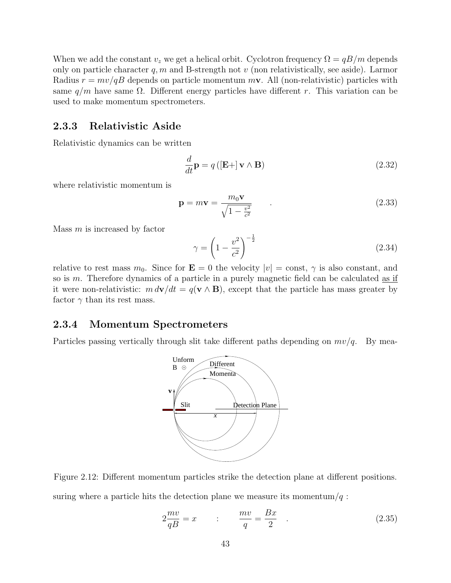When we add the constant  $v_z$  we get a helical orbit. Cyclotron frequency  $\Omega = qB/m$  depends only on particle character  $q, m$  and B-strength not v (non relativistically, see aside). Larmor Radius  $r = mv/qB$  depends on particle momentum  $m\mathbf{v}$ . All (non-relativistic) particles with same  $q/m$  have same  $\Omega$ . Different energy particles have different r. This variation can be used to make momentum spectrometers.

#### 2.3.3 Relativistic Aside

Relativistic dynamics can be written

$$
\frac{d}{dt}\mathbf{p} = q\left(\left[\mathbf{E} + \right] \mathbf{v} \wedge \mathbf{B}\right) \tag{2.32}
$$

where relativistic momentum is

$$
\mathbf{p} = m\mathbf{v} = \frac{m_0 \mathbf{v}}{\sqrt{1 - \frac{v^2}{c^2}}} \tag{2.33}
$$

Mass  $m$  is increased by factor

$$
\gamma = \left(1 - \frac{v^2}{c^2}\right)^{-\frac{1}{2}}\tag{2.34}
$$

relative to rest mass  $m_0$ . Since for  $\mathbf{E} = 0$  the velocity  $|v| = \text{const}, \gamma$  is also constant, and so is m. Therefore dynamics of a particle in a purely magnetic field can be calculated <u>as if</u> it were non-relativistic:  $m d\mathbf{v}/dt = q(\mathbf{v} \wedge \mathbf{B})$ , except that the particle has mass greater by factor  $\gamma$  than its rest mass.

#### 2.3.4 Momentum Spectrometers

Particles passing vertically through slit take different paths depending on  $mv/q$ . By mea-



Figure 2.12: Different momentum particles strike the detection plane at different positions. suring where a particle hits the detection plane we measure its momentum/ $q$ :

$$
2\frac{mv}{qB} = x \qquad : \qquad \frac{mv}{q} = \frac{Bx}{2} \qquad . \tag{2.35}
$$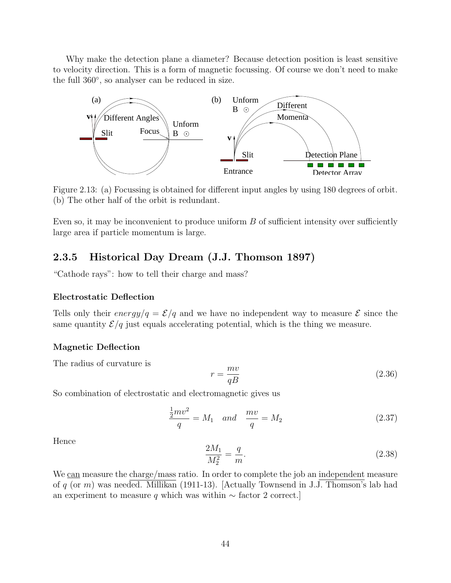Why make the detection plane a diameter? Because detection position is least sensitive to velocity direction. This is a form of magnetic focussing. Of course we don't need to make the full 360◦, so analyser can be reduced in size.



Figure 2.13: (a) Focussing is obtained for different input angles by using 180 degrees of orbit. (b) The other half of the orbit is redundant.

Even so, it may be inconvenient to produce uniform  $B$  of sufficient intensity over sufficiently large area if particle momentum is large.

#### 2.3.5 Historical Day Dream (J.J. Thomson 1897)

"Cathode rays": how to tell their charge and mass?

#### Electrostatic Deflection

Tells only their energy/ $q = \mathcal{E}/q$  and we have no independent way to measure  $\mathcal E$  since the same quantity  $\mathcal{E}/q$  just equals accelerating potential, which is the thing we measure.

#### Magnetic Deflection

The radius of curvature is

$$
r = \frac{mv}{qB} \tag{2.36}
$$

So combination of electrostatic and electromagnetic gives us

$$
\frac{\frac{1}{2}mv^2}{q} = M_1 \quad and \quad \frac{mv}{q} = M_2 \tag{2.37}
$$

Hence

$$
\frac{2M_1}{M_2^2} = \frac{q}{m}.\tag{2.38}
$$

We can measure the charge/mass ratio. In order to complete the job an independent measure of q (or m) was needed. Millikan (1911-13). [Actually Townsend in J.J. Thomson's lab had an experiment to measure q which was within  $\sim$  factor 2 correct.]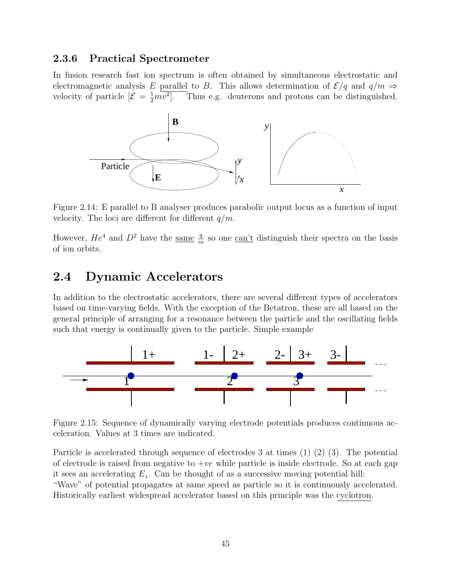#### 2.3.6 Practical Spectrometer

In fusion research fast ion spectrum is often obtained by simultaneous electrostatic and electromagnetic analysis E parallel to B. This allows determination of  $\mathcal{E}/q$  and  $q/m \Rightarrow$ velocity of particle  $[\mathcal{E} = \frac{1}{2} m v^2]$ . Thus e.g. deuterons and protons can be distinguished.



Figure 2.14: E parallel to B analyser produces parabolic output locus as a function of input velocity. The loci are different for different  $q/m$ .

However,  $He^4$  and  $D^2$  have the <u>same  $\frac{q}{m}$ </u> so one <u>can't</u> distinguish their spectra on the basis of ion orbits.

# 2.4 Dynamic Accelerators

In addition to the electrostatic accelerators, there are several different types of accelerators based on time-varying fields. With the exception of the Betatron, these are all based on the general principle of arranging for a resonance between the particle and the oscillating fields such that energy is continually given to the particle. Simple example



Figure 2.15: Sequence of dynamically varying electrode potentials produces continuous acceleration. Values at 3 times are indicated.

Particle is accelerated through sequence of electrodes 3 at times (1) (2) (3). The potential of electrode is raised from negative to  $+ve$  while particle is inside electrode. So at each gap it sees an accelerating  $E_z$ . Can be thought of as a successive moving potential hill:

"Wave" of potential propagates at same speed as particle so it is continuously accelerated. Historically earliest widespread accelerator based on this principle was the cyclotron.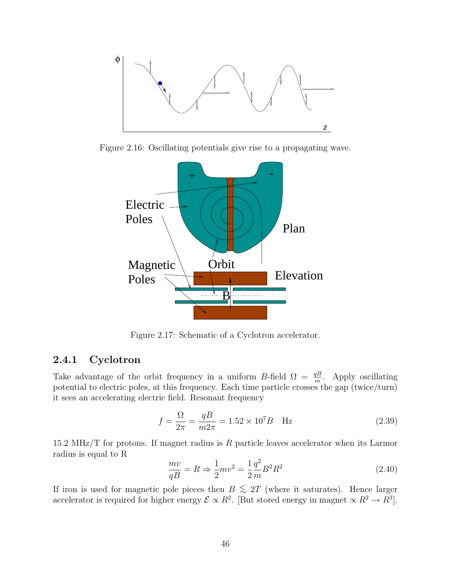

Figure 2.16: Oscillating potentials give rise to a propagating wave.



Figure 2.17: Schematic of a Cyclotron accelerator.

#### 2.4.1 Cyclotron

Take advantage of the orbit frequency in a uniform B-field  $\Omega = \frac{qB}{m}$ . Apply oscillating potential to electric poles, at this frequency. Each time particle crosses the gap (twice/turn) it sees an accelerating electric field. Resonant frequency

$$
f = \frac{\Omega}{2\pi} = \frac{qB}{m2\pi} = 1.52 \times 10^7 B \quad \text{Hz}
$$
 (2.39)

15.2 MHz/T for protons. If magnet radius is  $R$  particle leaves accelerator when its Larmor radius is equal to R

$$
\frac{mv}{qB} = R \Rightarrow \frac{1}{2}mv^2 = \frac{1}{2}\frac{q^2}{m}B^2R^2
$$
\n(2.40)

If iron is used for magnetic pole pieces then  $B \leq 2T$  (where it saturates). Hence larger accelerator is required for higher energy  $\mathcal{E} \propto R^2$ . [But stored energy in magnet  $\propto R^2 \to R^3$ ].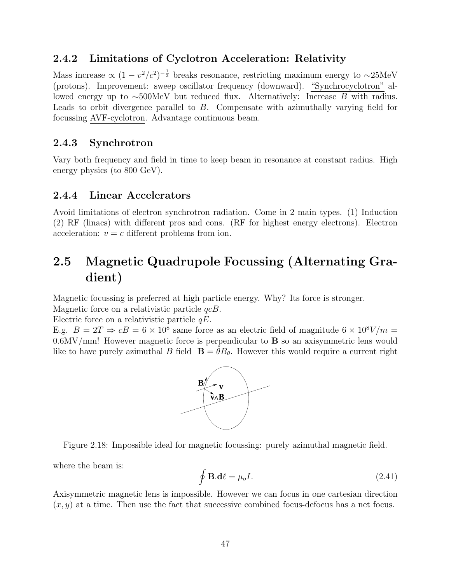# 2.4.2 Limitations of Cyclotron Acceleration: Relativity

Mass increase  $\propto (1 - v^2/c^2)^{-\frac{1}{2}}$  breaks resonance, restricting maximum energy to ~25MeV (protons). Improvement: sweep oscillator frequency (downward). "Synchrocyclotron" allowed energy up to ∼500MeV but reduced flux. Alternatively: Increase B with radius. Leads to orbit divergence parallel to B. Compensate with azimuthally varying field for focussing AVF-cyclotron. Advantage continuous beam.

# 2.4.3 Synchrotron

Vary both frequency and field in time to keep beam in resonance at constant radius. High energy physics (to 800 GeV).

## 2.4.4 Linear Accelerators

Avoid limitations of electron synchrotron radiation. Come in 2 main types. (1) Induction (2) RF (linacs) with different pros and cons. (RF for highest energy electrons). Electron acceleration:  $v = c$  different problems from ion.

# 2.5 Magnetic Quadrupole Focussing (Alternating Gradient)

Magnetic focussing is preferred at high particle energy. Why? Its force is stronger.

Magnetic force on a relativistic particle  $qcB$ .

Electric force on a relativistic particle  $qE$ .

E.g.  $B = 2T \Rightarrow cB = 6 \times 10^8$  same force as an electric field of magnitude  $6 \times 10^8$ V/m = 0.6MV/mm! However magnetic force is perpendicular to **B** so an axisymmetric lens would like to have purely azimuthal B field  $\mathbf{B} = \hat{\theta} B_{\theta}$ . However this would require a current right





where the beam is:

$$
\oint \mathbf{B}.\mathbf{d}\ell = \mu_o I. \tag{2.41}
$$

Axisymmetric magnetic lens is impossible. However we can focus in one cartesian direction  $(x, y)$  at a time. Then use the fact that successive combined focus-defocus has a net focus.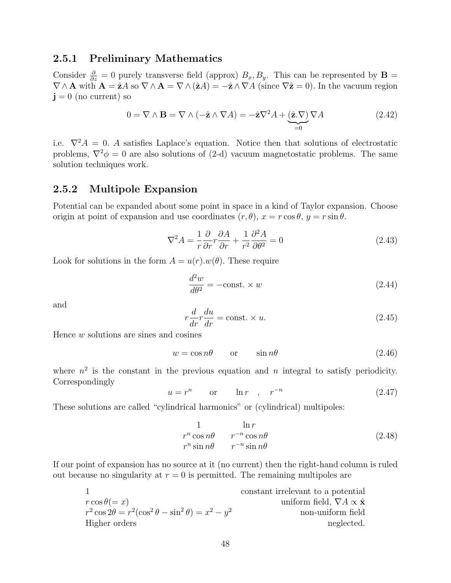#### 2.5.1 Preliminary Mathematics

Consider  $\frac{\partial}{\partial z} = 0$  purely transverse field (approx)  $B_x, B_y$ . This can be represented by **B** =  $\nabla \wedge \mathbf{A}$  with  $\mathbf{A} = \mathbf{\hat{z}}A$  so  $\nabla \wedge \mathbf{A} = \nabla \wedge (\mathbf{\hat{z}}A) = -\mathbf{\hat{z}} \wedge \nabla A$  (since  $\nabla \mathbf{\hat{z}} = 0$ ). In the vacuum region  $\mathbf{j} = 0$  (no current) so

$$
0 = \nabla \wedge \mathbf{B} = \nabla \wedge (-\hat{\mathbf{z}} \wedge \nabla A) = -\hat{\mathbf{z}} \nabla^2 A + \underbrace{(\hat{\mathbf{z}}.\nabla)}_{=0} \nabla A \tag{2.42}
$$

i.e.  $\nabla^2 A = 0$ . A satisfies Laplace's equation. Notice then that solutions of electrostatic problems,  $\nabla^2 \phi = 0$  are also solutions of (2-d) vacuum magnetostatic problems. The same solution techniques work.

#### 2.5.2 Multipole Expansion

Potential can be expanded about some point in space in a kind of Taylor expansion. Choose origin at point of expansion and use coordinates  $(r, \theta)$ ,  $x = r \cos \theta$ ,  $y = r \sin \theta$ .

$$
\nabla^2 A = \frac{1}{r} \frac{\partial}{\partial r} r \frac{\partial A}{\partial r} + \frac{1}{r^2} \frac{\partial^2 A}{\partial \theta^2} = 0
$$
\n(2.43)

Look for solutions in the form  $A = u(r) \cdot w(\theta)$ . These require

$$
\frac{d^2w}{d\theta^2} = -\text{const.} \times w \tag{2.44}
$$

and

$$
r\frac{d}{dr}r\frac{du}{dr} = \text{const.} \times u. \tag{2.45}
$$

Hence w solutions are sines and cosines

$$
w = \cos n\theta \qquad \text{or} \qquad \sin n\theta \tag{2.46}
$$

where  $n^2$  is the constant in the previous equation and n integral to satisfy periodicity. Correspondingly

$$
u = r^n \qquad \text{or} \qquad \ln r \quad , \quad r^{-n} \tag{2.47}
$$

These solutions are called "cylindrical harmonics" or (cylindrical) multipoles:

$$
\begin{array}{ccc}\n1 & \ln r \\
r^n \cos n\theta & r^{-n} \cos n\theta \\
r^n \sin n\theta & r^{-n} \sin n\theta\n\end{array} \tag{2.48}
$$

If our point of expansion has no source at it (no current) then the right-hand column is ruled out because no singularity at  $r = 0$  is permitted. The remaining multipoles are

|                                                                     | constant irrelevant to a potential                 |
|---------------------------------------------------------------------|----------------------------------------------------|
| $r \cos \theta (=x)$                                                | uniform field, $\nabla A \propto \hat{\mathbf{x}}$ |
| $r^2 \cos 2\theta = r^2(\cos^2 \theta - \sin^2 \theta) = x^2 - y^2$ | non-uniform field                                  |
| Higher orders                                                       | neglected.                                         |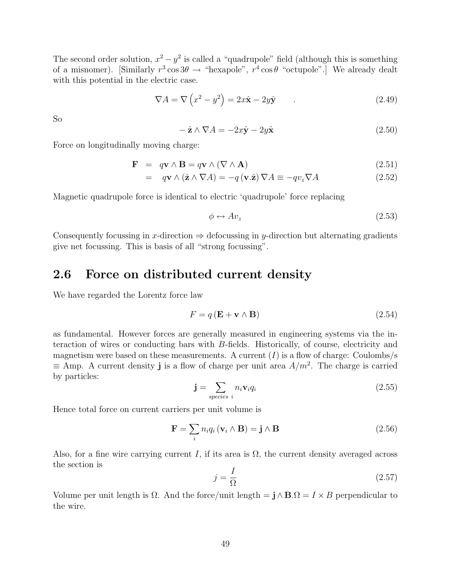The second order solution,  $x^2 - y^2$  is called a "quadrupole" field (although this is something of a misnomer). [Similarly  $r^3 \cos 3\theta \rightarrow$  "hexapole",  $r^4 \cos \theta$  "octupole".] We already dealt with this potential in the electric case.

$$
\nabla A = \nabla \left( x^2 - y^2 \right) = 2x\hat{\mathbf{x}} - 2y\hat{\mathbf{y}} \tag{2.49}
$$

So

$$
-\hat{\mathbf{z}} \wedge \nabla A = -2x\hat{\mathbf{y}} - 2y\hat{\mathbf{x}} \tag{2.50}
$$

Force on longitudinally moving charge:

$$
\mathbf{F} = q\mathbf{v} \wedge \mathbf{B} = q\mathbf{v} \wedge (\nabla \wedge \mathbf{A}) \tag{2.51}
$$

$$
= q\mathbf{v} \wedge (\hat{\mathbf{z}} \wedge \nabla A) = -q(\mathbf{v}.\hat{\mathbf{z}}) \nabla A \equiv -qv_z\nabla A \qquad (2.52)
$$

Magnetic quadrupole force is identical to electric 'quadrupole' force replacing

$$
\phi \leftrightarrow Av_z \tag{2.53}
$$

Consequently focussing in  $x$ -direction  $\Rightarrow$  defocussing in y-direction but alternating gradients give net focussing. This is basis of all "strong focussing".

## 2.6 Force on distributed current density

We have regarded the Lorentz force law

$$
F = q\left(\mathbf{E} + \mathbf{v} \wedge \mathbf{B}\right) \tag{2.54}
$$

as fundamental. However forces are generally measured in engineering systems via the interaction of wires or conducting bars with B-fields. Historically, of course, electricity and magnetism were based on these measurements. A current  $(I)$  is a flow of charge: Coulombs/s  $\equiv$  Amp. A current density **j** is a flow of charge per unit area  $A/m^2$ . The charge is carried by particles:

$$
\mathbf{j} = \sum_{species \ i} n_i \mathbf{v}_i q_i \tag{2.55}
$$

Hence total force on current carriers per unit volume is

$$
\mathbf{F} = \sum_{i} n_i q_i (\mathbf{v}_i \wedge \mathbf{B}) = \mathbf{j} \wedge \mathbf{B}
$$
 (2.56)

Also, for a fine wire carrying current I, if its area is  $\Omega$ , the current density averaged across the section is

$$
j = \frac{I}{\Omega} \tag{2.57}
$$

Volume per unit length is  $\Omega$ . And the force/unit length =  $\mathbf{j} \wedge \mathbf{B} \cdot \Omega = I \times B$  perpendicular to the wire.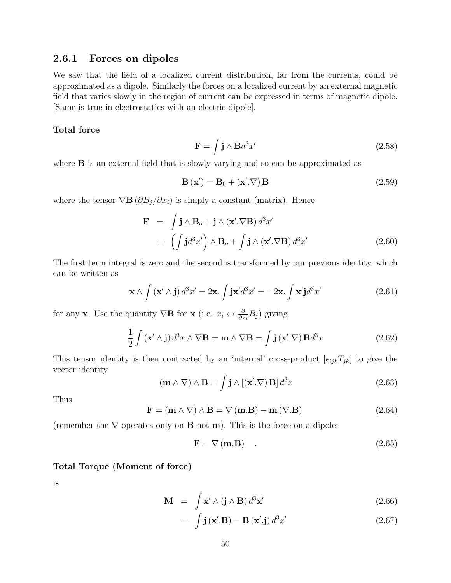#### 2.6.1 Forces on dipoles

We saw that the field of a localized current distribution, far from the currents, could be approximated as a dipole. Similarly the forces on a localized current by an external magnetic field that varies slowly in the region of current can be expressed in terms of magnetic dipole. [Same is true in electrostatics with an electric dipole].

#### Total force

$$
\mathbf{F} = \int \mathbf{j} \wedge \mathbf{B} d^3 x' \tag{2.58}
$$

where **B** is an external field that is slowly varying and so can be approximated as

$$
\mathbf{B}(\mathbf{x}') = \mathbf{B}_0 + (\mathbf{x}' . \nabla) \mathbf{B}
$$
 (2.59)

where the tensor  $\nabla \mathbf{B} (\partial B_j / \partial x_i)$  is simply a constant (matrix). Hence

$$
\mathbf{F} = \int \mathbf{j} \wedge \mathbf{B}_o + \mathbf{j} \wedge (\mathbf{x}' . \nabla \mathbf{B}) d^3 x'
$$
  
= 
$$
\left( \int \mathbf{j} d^3 x' \right) \wedge \mathbf{B}_o + \int \mathbf{j} \wedge (\mathbf{x}' . \nabla \mathbf{B}) d^3 x'
$$
 (2.60)

The first term integral is zero and the second is transformed by our previous identity, which can be written as

$$
\mathbf{x} \wedge \int (\mathbf{x}' \wedge \mathbf{j}) d^3 x' = 2\mathbf{x} \cdot \int \mathbf{j} \mathbf{x}' d^3 x' = -2\mathbf{x} \cdot \int \mathbf{x}' \mathbf{j} d^3 x'
$$
 (2.61)

for any x. Use the quantity  $\nabla \mathbf{B}$  for x (i.e.  $x_i \leftrightarrow \frac{\partial}{\partial x_i} B_j$ ) giving

$$
\frac{1}{2} \int (\mathbf{x}' \wedge \mathbf{j}) d^3 x \wedge \nabla \mathbf{B} = \mathbf{m} \wedge \nabla \mathbf{B} = \int \mathbf{j} (\mathbf{x}' \cdot \nabla) \mathbf{B} d^3 x \tag{2.62}
$$

This tensor identity is then contracted by an 'internal' cross-product  $[\epsilon_{ijk}T_{jk}]$  to give the vector identity

$$
(\mathbf{m} \wedge \nabla) \wedge \mathbf{B} = \int \mathbf{j} \wedge [(\mathbf{x}'.\nabla) \mathbf{B}] d^3 x \qquad (2.63)
$$

Thus

$$
\mathbf{F} = (\mathbf{m} \wedge \nabla) \wedge \mathbf{B} = \nabla (\mathbf{m}.\mathbf{B}) - \mathbf{m} (\nabla.\mathbf{B})
$$
 (2.64)

(remember the  $\nabla$  operates only on **B** not **m**). This is the force on a dipole:

$$
\mathbf{F} = \nabla \left( \mathbf{m} . \mathbf{B} \right) \tag{2.65}
$$

#### Total Torque (Moment of force)

is

$$
\mathbf{M} = \int \mathbf{x}' \wedge (\mathbf{j} \wedge \mathbf{B}) d^3 \mathbf{x}' \qquad (2.66)
$$

$$
= \int \mathbf{j}(\mathbf{x}'.\mathbf{B}) - \mathbf{B}(\mathbf{x}'.\mathbf{j}) d^3 x'
$$
 (2.67)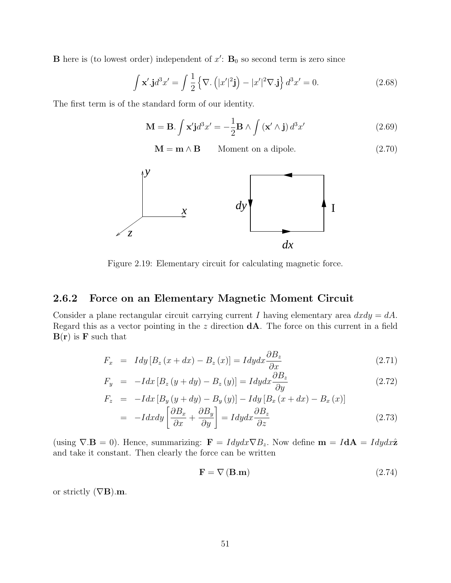**B** here is (to lowest order) independent of  $x'$ :  $B_0$  so second term is zero since

$$
\int \mathbf{x}' \cdot \mathbf{j} d^3 x' = \int \frac{1}{2} \left\{ \nabla \cdot \left( |x'|^2 \mathbf{j} \right) - |x'|^2 \nabla \cdot \mathbf{j} \right\} d^3 x' = 0. \tag{2.68}
$$

The first term is of the standard form of our identity.

$$
\mathbf{M} = \mathbf{B} \cdot \int \mathbf{x'} \mathbf{j} d^3 x' = -\frac{1}{2} \mathbf{B} \wedge \int (\mathbf{x'} \wedge \mathbf{j}) d^3 x'
$$
 (2.69)

 $\mathbf{M} = \mathbf{m} \wedge \mathbf{B}$  Moment on a dipole. (2.70)



Figure 2.19: Elementary circuit for calculating magnetic force.

#### 2.6.2 Force on an Elementary Magnetic Moment Circuit

Consider a plane rectangular circuit carrying current I having elementary area  $dx dy = dA$ . Regard this as a vector pointing in the  $z$  direction  $dA$ . The force on this current in a field  $B(r)$  is F such that

$$
F_x = I dy [B_z (x + dx) - B_z (x)] = I dy dx \frac{\partial B_z}{\partial x}
$$
\n(2.71)

$$
F_y = -Idx [B_z (y + dy) - B_z (y)] = I dy dx \frac{\partial B_z}{\partial y}
$$
\n(2.72)

$$
F_z = -Idx [B_y (y + dy) - B_y (y)] - Idy [B_x (x + dx) - B_x (x)]
$$
  
= 
$$
-I dxdy \left[ \frac{\partial B_x}{\partial x} + \frac{\partial B_y}{\partial y} \right] = I dy dx \frac{\partial B_z}{\partial z}
$$
 (2.73)

(using  $\nabla \cdot \mathbf{B} = 0$ ). Hence, summarizing:  $\mathbf{F} = I dy dx \nabla B_z$ . Now define  $\mathbf{m} = I d\mathbf{A} = I dy dx \hat{\mathbf{z}}$ and take it constant. Then clearly the force can be written

$$
\mathbf{F} = \nabla \left( \mathbf{B} . \mathbf{m} \right) \tag{2.74}
$$

or strictly  $(\nabla \mathbf{B})\mathbf{m}$ .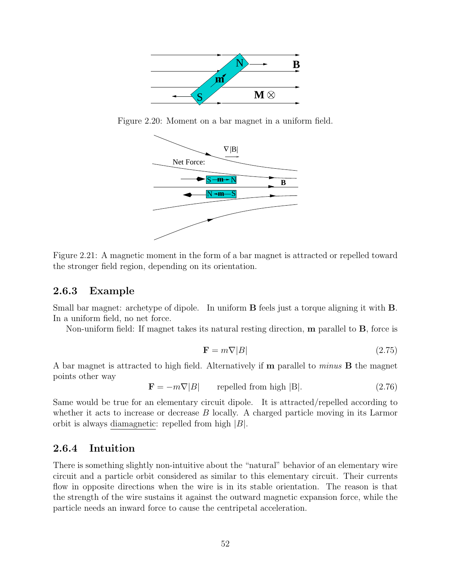

Figure 2.20: Moment on a bar magnet in a uniform field.



Figure 2.21: A magnetic moment in the form of a bar magnet is attracted or repelled toward the stronger field region, depending on its orientation.

#### 2.6.3 Example

Small bar magnet: archetype of dipole. In uniform B feels just a torque aligning it with B. In a uniform field, no net force.

Non-uniform field: If magnet takes its natural resting direction,  $\mathbf m$  parallel to  $\mathbf B$ , force is

$$
\mathbf{F} = m\nabla|B| \tag{2.75}
$$

A bar magnet is attracted to high field. Alternatively if m parallel to minus B the magnet points other way

 $\mathbf{F} = -m\nabla|B|$  repelled from high |B|. (2.76)

Same would be true for an elementary circuit dipole. It is attracted/repelled according to whether it acts to increase or decrease B locally. A charged particle moving in its Larmor orbit is always diamagnetic: repelled from high  $|B|$ .

#### 2.6.4 Intuition

There is something slightly non-intuitive about the "natural" behavior of an elementary wire circuit and a particle orbit considered as similar to this elementary circuit. Their currents flow in opposite directions when the wire is in its stable orientation. The reason is that the strength of the wire sustains it against the outward magnetic expansion force, while the particle needs an inward force to cause the centripetal acceleration.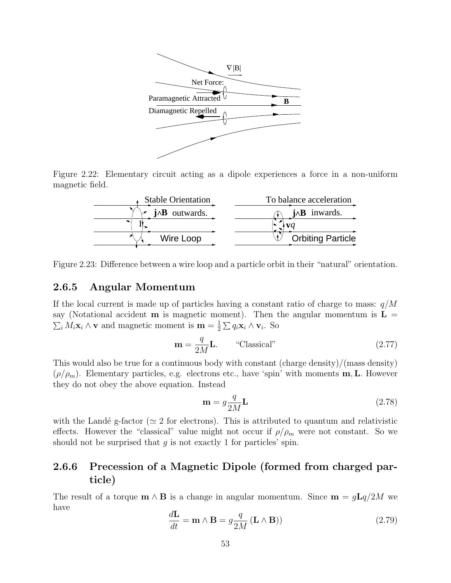

Figure 2.22: Elementary circuit acting as a dipole experiences a force in a non-uniform magnetic field.

| <b>Stable Orientation</b> | To balance acceleration  |
|---------------------------|--------------------------|
| $i^{\text{AB}}$ outwards. | $i \wedge B$ inwards.    |
|                           |                          |
| Wire Loop                 | <b>Orbiting Particle</b> |

Figure 2.23: Difference between a wire loop and a particle orbit in their "natural" orientation.

#### 2.6.5 Angular Momentum

 $\sum_i M_i \mathbf{x}_i \wedge \mathbf{v}$  and magnetic moment is  $\mathbf{m} = \frac{1}{2} \sum q_i \mathbf{x}_i \wedge \mathbf{v}_i$ . So If the local current is made up of particles having a constant ratio of charge to mass:  $q/M$ say (Notational accident **m** is magnetic moment). Then the angular momentum is  $\mathbf{L} =$ 

$$
\mathbf{m} = \frac{q}{2M} \mathbf{L}.
$$
 "Classical" (2.77)

This would also be true for a continuous body with constant (charge density)/(mass density)  $(\rho/\rho_m)$ . Elementary particles, e.g. electrons etc., have 'spin' with moments **m**, **L**. However they do not obey the above equation. Instead

$$
\mathbf{m} = g \frac{q}{2M} \mathbf{L} \tag{2.78}
$$

with the Landé g-factor ( $\simeq$  2 for electrons). This is attributed to quantum and relativistic effects. However the "classical" value might not occur if  $\rho/\rho_m$  were not constant. So we should not be surprised that  $g$  is not exactly 1 for particles' spin.

# 2.6.6 Precession of a Magnetic Dipole (formed from charged particle)

The result of a torque  $\mathbf{m} \wedge \mathbf{B}$  is a change in angular momentum. Since  $\mathbf{m} = g\mathbf{L}q/2M$  we have

$$
\frac{d\mathbf{L}}{dt} = \mathbf{m} \wedge \mathbf{B} = g \frac{q}{2M} (\mathbf{L} \wedge \mathbf{B}))
$$
\n(2.79)